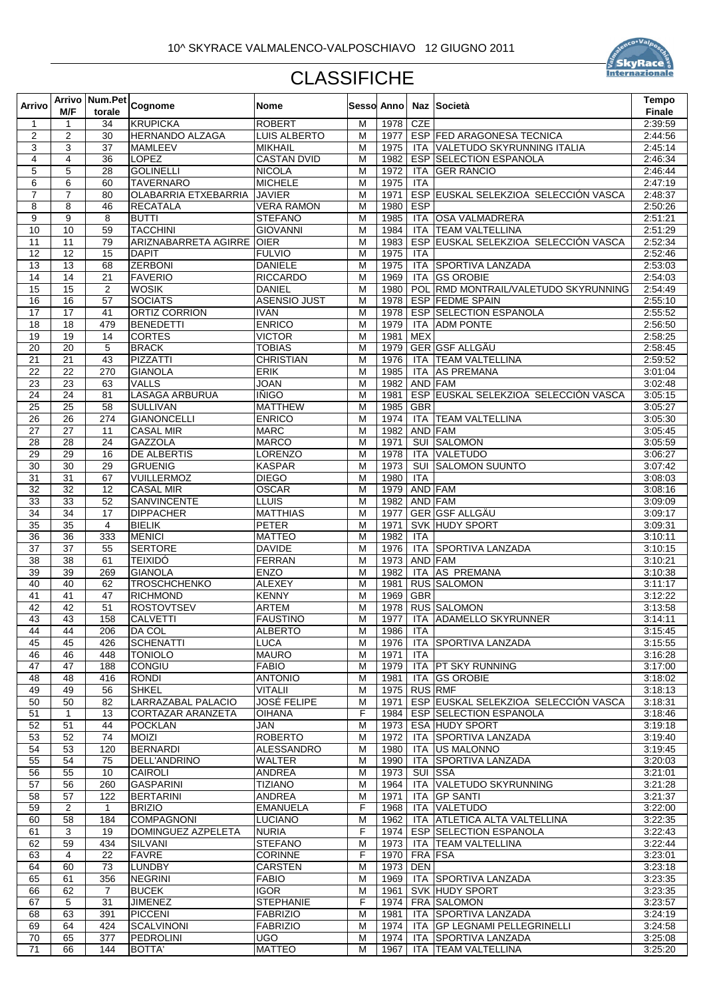

## **CLASSIFICHE**

| Arrivo                |                       |                     | Arrivo   Num.Pet   Cognome          | <b>Nome</b>                          |                |              |                | <b>Sesso Anno   Naz   Società</b>                               | <b>Tempo</b>       |
|-----------------------|-----------------------|---------------------|-------------------------------------|--------------------------------------|----------------|--------------|----------------|-----------------------------------------------------------------|--------------------|
|                       | M/F                   | torale              |                                     |                                      |                |              |                |                                                                 | <b>Finale</b>      |
| $\mathbf 1$           | 1                     | 34                  | <b>KRUPICKA</b>                     | <b>ROBERT</b>                        | м              | 1978         | <b>CZE</b>     |                                                                 | 2:39:59            |
| $\mathbf{2}$          | $\overline{2}$        | 30                  | <b>HERNANDO ALZAGA</b>              | <b>LUIS ALBERTO</b>                  | M              | 1977         |                | <b>ESP FED ARAGONESA TECNICA</b>                                | 2:44:56            |
| 3<br>$\overline{4}$   | 3<br>4                | 37<br>36            | <b>MAMLEEV</b><br><b>LOPEZ</b>      | <b>MIKHAIL</b><br><b>CASTAN DVID</b> | M<br>M         | 1975<br>1982 |                | ITA VALETUDO SKYRUNNING ITALIA<br><b>ESP SELECTION ESPANOLA</b> | 2:45:14<br>2:46:34 |
| 5                     | 5                     | 28                  | <b>GOLINELLI</b>                    | <b>NICOLA</b>                        | M              | 1972         | ITA            | <b>GER RANCIO</b>                                               | 2:46:44            |
| 6                     | 6                     | 60                  | <b>TAVERNARO</b>                    | <b>MICHELE</b>                       | M              | 1975         | <b>ITA</b>     |                                                                 | 2:47:19            |
| $\overline{7}$        | $\overline{7}$        | 80                  | OLABARRIA ETXEBARRIA                | <b>JAVIER</b>                        | M              | 1971         |                | ESP EUSKAL SELEKZIOA SELECCIÓN VASCA                            | 2:48:37            |
| 8                     | 8                     | 46                  | <b>RECATALA</b>                     | <b>VERA RAMON</b>                    | M              | 1980         | <b>ESP</b>     |                                                                 | 2:50:26            |
| 9                     | 9                     | 8                   | <b>BUTTI</b>                        | <b>STEFANO</b>                       | M              | 1985         |                | ITA OSA VALMADRERA                                              | 2:51:21            |
| 10                    | 10                    | 59                  | <b>TACCHINI</b>                     | <b>GIOVANNI</b>                      | M              | 1984         |                | ITA TEAM VALTELLINA                                             | 2:51:29            |
| 11                    | 11                    | 79                  | ARIZNABARRETA AGIRRE OIER           |                                      | M              | 1983         |                | ESP EUSKAL SELEKZIOA SELECCIÓN VASCA                            | 2:52:34            |
| 12                    | $\overline{12}$       | 15                  | <b>DAPIT</b>                        | <b>FULVIO</b>                        | M              | 1975         | ITA            |                                                                 | 2:52:46            |
| 13                    | $\overline{13}$       | 68                  | <b>ZERBONI</b>                      | <b>DANIELE</b>                       | M              | 1975         |                | ITA SPORTIVA LANZADA                                            | 2:53:03            |
| 14                    | 14                    | 21                  | <b>FAVERIO</b>                      | <b>RICCARDO</b>                      | M              | 1969         |                | <b>ITA GS OROBIE</b>                                            | 2:54:03            |
| 15<br>16              | $\overline{15}$<br>16 | 2<br>57             | <b>WOSIK</b><br><b>SOCIATS</b>      | <b>DANIEL</b><br><b>ASENSIO JUST</b> | M<br>M         | 1980<br>1978 |                | POL RMD MONTRAIL/VALETUDO SKYRUNNING<br>ESP FEDME SPAIN         | 2:54:49<br>2:55:10 |
| 17                    | $\overline{17}$       | 41                  | ORTIZ CORRION                       | <b>IVAN</b>                          | M              | 1978         |                | <b>ESP SELECTION ESPANOLA</b>                                   | 2:55:52            |
| 18                    | 18                    | 479                 | <b>BENEDETTI</b>                    | <b>ENRICO</b>                        | M              | 1979         |                | ITA ADM PONTE                                                   | 2:56:50            |
| 19                    | 19                    | 14                  | <b>CORTES</b>                       | <b>VICTOR</b>                        | M              | 1981         | <b>MEX</b>     |                                                                 | 2:58:25            |
| 20                    | 20                    | 5                   | <b>BRACK</b>                        | <b>TOBIAS</b>                        | M              | 1979         |                | GER GSF ALLGÄU                                                  | 2:58:45            |
| $\overline{21}$       | $\overline{21}$       | 43                  | <b>PIZZATTI</b>                     | <b>CHRISTIAN</b>                     | M              | 1976         |                | ITA TEAM VALTELLINA                                             | 2:59:52            |
| 22                    | $\overline{22}$       | 270                 | <b>GIANOLA</b>                      | <b>ERIK</b>                          | $\overline{M}$ | 1985         | <b>ITA</b>     | <b>AS PREMANA</b>                                               | 3:01:04            |
| 23                    | 23                    | 63                  | <b>VALLS</b>                        | <b>JOAN</b>                          | M              | 1982         | AND FAM        |                                                                 | 3:02:48            |
| $\overline{24}$       | $\overline{24}$       | 81                  | <b>LASAGA ARBURUA</b>               | <b>IÑIGO</b>                         | M              | 1981         |                | ESP EUSKAL SELEKZIOA SELECCIÓN VASCA                            | 3:05:15            |
| 25                    | 25                    | 58                  | <b>SULLIVAN</b>                     | <b>MATTHEW</b>                       | M              | 1985         | <b>GBR</b>     |                                                                 | 3:05:27            |
| 26                    | $\overline{26}$       | $\overline{274}$    | <b>GIANONCELLI</b>                  | <b>ENRICO</b>                        | M              | 1974         |                | ITA TEAM VALTELLINA                                             | 3:05:30            |
| 27                    | 27                    | 11                  | <b>CASAL MIR</b>                    | <b>MARC</b>                          | M              | 1982         | AND FAM        |                                                                 | 3:05:45            |
| 28                    | $\overline{28}$       | 24                  | <b>GAZZOLA</b>                      | <b>MARCO</b>                         | M              | 1971         |                | <b>SUI SALOMON</b>                                              | 3:05:59            |
| 29                    | 29                    | 16                  | <b>DE ALBERTIS</b>                  | <b>LORENZO</b>                       | M              | 1978         | ITA            | VALETUDO                                                        | 3:06:27            |
| 30<br>$\overline{31}$ | 30<br>$\overline{31}$ | 29<br>67            | <b>GRUENIG</b><br><b>VUILLERMOZ</b> | <b>KASPAR</b><br><b>DIEGO</b>        | M<br>M         | 1973<br>1980 | <b>ITA</b>     | <b>SUI SALOMON SUUNTO</b>                                       | 3:07:42            |
| 32                    | 32                    | 12                  | <b>CASAL MIR</b>                    | <b>OSCAR</b>                         | M              | 1979         | AND FAM        |                                                                 | 3:08:03<br>3:08:16 |
| 33                    | 33                    | 52                  | SANVINCENTE                         | <b>LLUIS</b>                         | M              | 1982         | AND FAM        |                                                                 | 3:09:09            |
| 34                    | 34                    | 17                  | <b>DIPPACHER</b>                    | <b>MATTHIAS</b>                      | M              | 1977         |                | GER GSF ALLGÄU                                                  | 3:09:17            |
| 35                    | $\overline{35}$       | $\overline{4}$      | <b>BIELIK</b>                       | <b>PETER</b>                         | M              | 1971         |                | SVK HUDY SPORT                                                  | 3:09:31            |
| 36                    | 36                    | 333                 | <b>MENICI</b>                       | <b>MATTEO</b>                        | M              | 1982         | <b>ITA</b>     |                                                                 | 3:10:11            |
| 37                    | $\overline{37}$       | 55                  | <b>SERTORE</b>                      | <b>DAVIDE</b>                        | M              | 1976         |                | ITA SPORTIVA LANZADA                                            | 3:10:15            |
| 38                    | $\overline{38}$       | 61                  | <b>TEIXIDÓ</b>                      | <b>FERRAN</b>                        | M              | 1973         | AND FAM        |                                                                 | 3:10:21            |
| 39                    | 39                    | 269                 | <b>GIANOLA</b>                      | <b>ENZO</b>                          | M              | 1982         |                | ITA AS PREMANA                                                  | 3:10:38            |
| 40                    | 40                    | 62                  | <b>TROSCHCHENKO</b>                 | <b>ALEXEY</b>                        | M              | 1981         |                | <b>RUS SALOMON</b>                                              | 3:11:17            |
| 41                    | 41                    | 47                  | <b>RICHMOND</b>                     | <b>KENNY</b>                         | M              | 1969         | <b>GBR</b>     |                                                                 | 3:12:22            |
| 42                    | 42                    | 51                  | <b>ROSTOVTSEV</b>                   | <b>ARTEM</b>                         | M              | 1978         |                | <b>RUS SALOMON</b>                                              | 3:13:58            |
| 43                    | 43                    | 158                 | <b>CALVETTI</b>                     | <b>FAUSTINO</b>                      | M              | 1977         |                | ITA ADAMELLO SKYRUNNER                                          | 3:14:11            |
| 44<br>45              | 44<br>45              | 206                 | DA COL                              | <b>ALBERTO</b>                       | м<br>M         | 1986         | ITA            | ITA SPORTIVA LANZADA                                            | 3:15:45            |
| 46                    | 46                    | 426<br>448          | <b>SCHENATTI</b><br><b>TONIOLO</b>  | <b>LUCA</b><br><b>MAURO</b>          | M              | 1976<br>1971 | <b>ITA</b>     |                                                                 | 3:15:55<br>3:16:28 |
| 47                    | 47                    | 188                 | CONGIU                              | <b>FABIO</b>                         | M              | 1979         |                | ITA   PT SKY RUNNING                                            | 3:17:00            |
| 48                    | 48                    | 416                 | <b>RONDI</b>                        | <b>ANTONIO</b>                       | M              | 1981         |                | ITA GS OROBIE                                                   | 3:18:02            |
| 49                    | 49                    | 56                  | <b>SHKEL</b>                        | <b>VITALII</b>                       | M              | 1975         | <b>RUS RMF</b> |                                                                 | 3:18:13            |
| 50                    | 50                    | 82                  | LARRAZABAL PALACIO                  | <b>JOSÉ FELIPE</b>                   | M              | 1971         |                | ESP EUSKAL SELEKZIOA SELECCIÓN VASCA                            | 3:18:31            |
| 51                    | $\mathbf{1}$          | 13                  | <b>CORTAZAR ARANZETA</b>            | <b>OIHANA</b>                        | F              | 1984         |                | <b>ESP SELECTION ESPANOLA</b>                                   | 3:18:46            |
| 52                    | 51                    | 44                  | <b>POCKLAN</b>                      | <b>JAN</b>                           | M              | 1973         |                | <b>ESA HUDY SPORT</b>                                           | 3:19:18            |
| 53                    | 52                    | 74                  | <b>MOIZI</b>                        | <b>ROBERTO</b>                       | M              | 1972         |                | ITA SPORTIVA LANZADA                                            | 3:19:40            |
| 54                    | 53                    | 120                 | BERNARDI                            | <b>ALESSANDRO</b>                    | M              | 1980         |                | ITA US MALONNO                                                  | 3:19:45            |
| 55                    | 54                    | 75                  | <b>DELL'ANDRINO</b>                 | <b>WALTER</b>                        | M              | 1990         |                | ITA SPORTIVA LANZADA                                            | 3:20:03            |
| 56                    | 55                    | 10                  | <b>CAIROLI</b>                      | <b>ANDREA</b>                        | M              | 1973         |                | SUI SSA                                                         | 3:21:01            |
| 57                    | 56                    | 260                 | <b>GASPARINI</b>                    | <b>TIZIANO</b>                       | M              | 1964         | ITA            | <b>VALETUDO SKYRUNNING</b>                                      | 3:21:28            |
| 58<br>59              | $\overline{57}$       | 122                 | <b>BERTARINI</b><br><b>BRIZIO</b>   | <b>ANDREA</b><br><b>EMANUELA</b>     | M<br>F         | 1971         | ITA<br>ITA     | <b>GP SANTI</b><br><b>VALETUDO</b>                              | 3:21:37            |
| 60                    | $\overline{2}$<br>58  | $\mathbf{1}$<br>184 | <b>COMPAGNONI</b>                   | <b>LUCIANO</b>                       | M              | 1968<br>1962 |                | ITA ATLETICA ALTA VALTELLINA                                    | 3:22:00<br>3:22:35 |
| 61                    | 3                     | 19                  | <b>DOMINGUEZ AZPELETA</b>           | <b>NURIA</b>                         | F              | 1974         |                | ESP SELECTION ESPANOLA                                          | 3:22:43            |
| 62                    | 59                    | 434                 | SILVANI                             | <b>STEFANO</b>                       | M              | 1973         |                | ITA TEAM VALTELLINA                                             | 3:22:44            |
| 63                    | $\overline{4}$        | 22                  | <b>FAVRE</b>                        | <b>CORINNE</b>                       | F              | 1970         | FRA FSA        |                                                                 | 3:23:01            |
| 64                    | 60                    | 73                  | <b>LUNDBY</b>                       | <b>CARSTEN</b>                       | M              | 1973         | <b>DEN</b>     |                                                                 | 3:23:18            |
| 65                    | 61                    | 356                 | <b>NEGRINI</b>                      | <b>FABIO</b>                         | M              | 1969         |                | ITA SPORTIVA LANZADA                                            | 3:23:35            |
| 66                    | 62                    | $\overline{7}$      | <b>BUCEK</b>                        | <b>IGOR</b>                          | M              | 1961         |                | SVK HUDY SPORT                                                  | 3:23:35            |
| 67                    | 5                     | 31                  | <b>JIMENEZ</b>                      | <b>STEPHANIE</b>                     | F              | 1974         |                | FRA SALOMON                                                     | 3:23:57            |
| 68                    | 63                    | 391                 | <b>PICCENI</b>                      | <b>FABRIZIO</b>                      | M              | 1981         |                | ITA SPORTIVA LANZADA                                            | 3:24:19            |
| 69                    | 64                    | 424                 | <b>SCALVINONI</b>                   | <b>FABRIZIO</b>                      | M              | 1974         |                | ITA GP LEGNAMI PELLEGRINELLI                                    | 3:24:58            |
| 70                    | 65                    | 377                 | <b>PEDROLINI</b>                    | <b>UGO</b>                           | М              | 1974         |                | ITA SPORTIVA LANZADA                                            | 3:25:08            |
| 71                    | 66                    | 144                 | <b>BOTTA'</b>                       | <b>MATTEO</b>                        | М              | 1967         |                | ITA TEAM VALTELLINA                                             | 3:25:20            |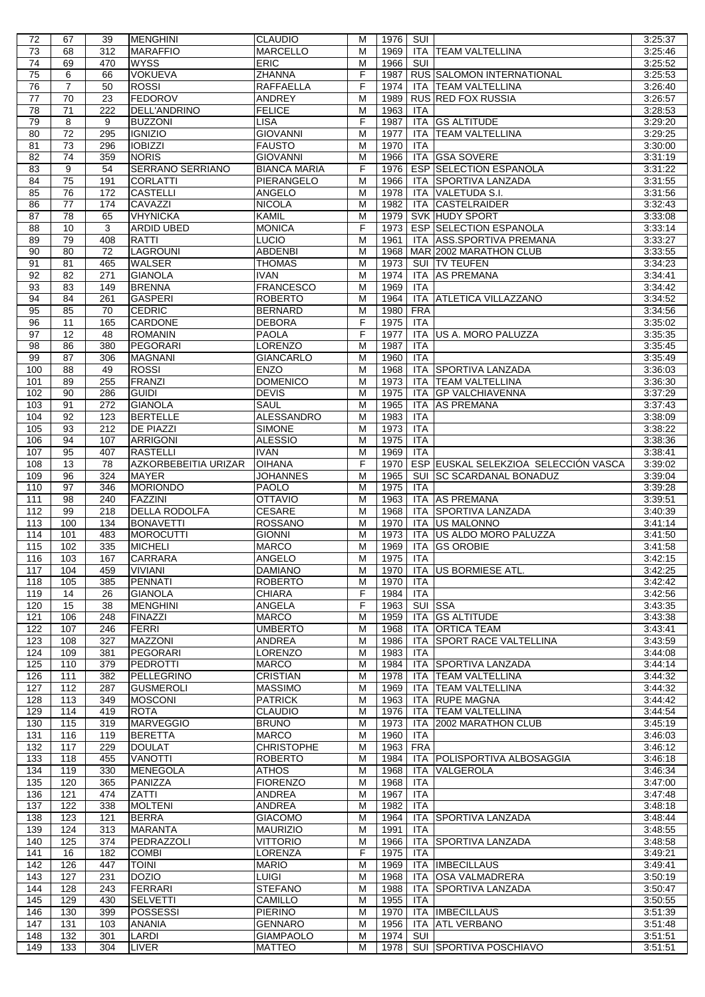| 72              | 67              | 39         | <b>MENGHINI</b>             | <b>CLAUDIO</b>                    | м              | 1976         | SUI        |                                      | 3:25:37            |
|-----------------|-----------------|------------|-----------------------------|-----------------------------------|----------------|--------------|------------|--------------------------------------|--------------------|
| 73              | 68              | 312        | <b>MARAFFIO</b>             | <b>MARCELLO</b>                   | M              | 1969         |            | ITA TEAM VALTELLINA                  | 3:25:46            |
| 74              | 69              | 470        | <b>WYSS</b>                 | <b>ERIC</b>                       | M              | 1966         | SUI        |                                      | 3:25:52            |
| $\overline{75}$ | 6               | 66         | <b>VOKUEVA</b>              | <b>ZHANNA</b>                     | F              | 1987         |            | RUS SALOMON INTERNATIONAL            | 3:25:53            |
|                 |                 |            |                             |                                   |                |              |            |                                      |                    |
| 76              | 7               | 50         | <b>ROSSI</b>                | <b>RAFFAELLA</b>                  | F              | 1974         |            | ITA TEAM VALTELLINA                  | 3:26:40            |
| 77              | 70              | 23         | <b>FEDOROV</b>              | <b>ANDREY</b>                     | M              | 1989         |            | <b>RUS RED FOX RUSSIA</b>            | 3:26:57            |
| 78              | 71              | 222        | <b>DELL'ANDRINO</b>         | <b>FELICE</b>                     | M              | 1963         | <b>ITA</b> |                                      | 3:28:53            |
|                 |                 |            |                             |                                   | F              |              |            |                                      |                    |
| 79              | 8               | 9          | <b>BUZZONI</b>              | <b>LISA</b>                       |                | 1987         | ITA        | <b>GS ALTITUDE</b>                   | 3:29:20            |
| 80              | $\overline{72}$ | 295        | <b>IGNIZIO</b>              | <b>GIOVANNI</b>                   | M              | 1977         | <b>ITA</b> | <b>TEAM VALTELLINA</b>               | 3:29:25            |
| 81              | 73              | 296        | <b>IOBIZZI</b>              | <b>FAUSTO</b>                     | M              | 1970         | <b>ITA</b> |                                      | 3:30:00            |
| 82              | 74              | 359        | <b>NORIS</b>                | <b>GIOVANNI</b>                   | M              | 1966         |            | <b>ITA GSA SOVERE</b>                | 3:31:19            |
|                 |                 |            |                             |                                   |                |              |            |                                      |                    |
| 83              | 9               | 54         | SERRANO SERRIANO            | <b>BIANCA MARIA</b>               | F              | 1976         |            | ESP SELECTION ESPANOLA               | 3:31:22            |
| 84              | $\overline{75}$ | 191        | <b>CORLATTI</b>             | PIERANGELO                        | M              | 1966         |            | ITA SPORTIVA LANZADA                 | 3:31:55            |
| 85              | 76              | 172        | <b>CASTELLI</b>             | <b>ANGELO</b>                     | M              | 1978         |            | ITA VALETUDA S.I.                    | 3:31:56            |
|                 |                 |            |                             |                                   |                |              |            |                                      |                    |
| 86              | 77              | 174        | CAVAZZI                     | <b>NICOLA</b>                     | M              | 1982         | ITA        | <b>CASTELRAIDER</b>                  | 3:32:43            |
| $\overline{87}$ | $\overline{78}$ | 65         | <b>VHYNICKA</b>             | <b>KAMIL</b>                      | M              | 1979         |            | <b>SVK HUDY SPORT</b>                | 3:33:08            |
| 88              | 10              | 3          | ARDID UBED                  | <b>MONICA</b>                     | F              | 1973         |            | ESP SELECTION ESPANOLA               | 3:33:14            |
|                 |                 |            |                             |                                   |                |              |            |                                      |                    |
| 89              | 79              | 408        | <b>RATTI</b>                | <b>LUCIO</b>                      | $\overline{M}$ | 1961         |            | ITA ASS.SPORTIVA PREMANA             | 3:33:27            |
| 90              | 80              | 72         | LAGROUNI                    | <b>ABDENBI</b>                    | M              | 1968         |            | MAR 2002 MARATHON CLUB               | 3:33:55            |
| 91              | 81              | 465        | <b>WALSER</b>               | <b>THOMAS</b>                     | M              | 1973         |            | SUI TV TEUFEN                        | 3:34:23            |
| 92              | $\overline{82}$ | 271        | <b>GIANOLA</b>              | <b>IVAN</b>                       | M              | 1974         | ITA        | <b>AS PREMANA</b>                    |                    |
|                 |                 |            |                             |                                   |                |              |            |                                      | 3:34:41            |
| 93              | 83              | 149        | <b>BRENNA</b>               | <b>FRANCESCO</b>                  | M              | 1969         | <b>ITA</b> |                                      | 3:34:42            |
| 94              | 84              | 261        | <b>GASPERI</b>              | <b>ROBERTO</b>                    | M              | 1964         |            | ITA ATLETICA VILLAZZANO              | 3:34:52            |
| 95              | 85              | 70         | <b>CEDRIC</b>               | <b>BERNARD</b>                    | M              | 1980         | <b>FRA</b> |                                      | 3:34:56            |
|                 |                 |            |                             |                                   |                |              |            |                                      |                    |
| 96              | 11              | 165        | <b>CARDONE</b>              | <b>DEBORA</b>                     | F              | 1975         | <b>ITA</b> |                                      | 3:35:02            |
| 97              | 12              | 48         | <b>ROMANIN</b>              | <b>PAOLA</b>                      | F              | 1977         | ITA        | US A. MORO PALUZZA                   | 3:35:35            |
| $\overline{98}$ | 86              | 380        | <b>PEGORARI</b>             | <b>LORENZO</b>                    | $\overline{M}$ | 1987         | <b>ITA</b> |                                      | 3:35:45            |
|                 |                 |            |                             |                                   |                |              |            |                                      |                    |
| $\overline{99}$ | $\overline{87}$ | 306        | <b>MAGNANI</b>              | <b>GIANCARLO</b>                  | M              | 1960         | <b>ITA</b> |                                      | 3:35:49            |
| 100             | 88              | 49         | <b>ROSSI</b>                | <b>ENZO</b>                       | M              | 1968         |            | ITA SPORTIVA LANZADA                 | 3:36:03            |
| 101             | 89              | 255        | <b>FRANZI</b>               | <b>DOMENICO</b>                   | M              | 1973         |            | ITA TEAM VALTELLINA                  | 3:36:30            |
|                 |                 | 286        | <b>GUIDI</b>                |                                   | M              |              |            |                                      |                    |
| 102             | 90              |            |                             | <b>DEVIS</b>                      |                | 1975         | <b>ITA</b> | <b>GP VALCHIAVENNA</b>               | 3:37:29            |
| 103             | 91              | 272        | <b>GIANOLA</b>              | SAUL                              | M              | 1965         | ITA        | <b>AS PREMANA</b>                    | 3:37:43            |
| 104             | 92              | 123        | <b>BERTELLE</b>             | <b>ALESSANDRO</b>                 | M              | 1983         | <b>ITA</b> |                                      | 3:38:09            |
| 105             | 93              | 212        | DE PIAZZI                   | <b>SIMONE</b>                     | M              | 1973         | <b>ITA</b> |                                      | 3:38:22            |
|                 |                 |            |                             |                                   |                |              |            |                                      |                    |
| 106             | 94              | 107        | <b>ARRIGONI</b>             | <b>ALESSIO</b>                    | M              | 1975         | <b>ITA</b> |                                      | 3:38:36            |
| 107             | 95              | 407        | <b>RASTELLI</b>             | <b>IVAN</b>                       | M              | 1969         | <b>ITA</b> |                                      | 3:38:41            |
| 108             | 13              | 78         | <b>AZKORBEBEITIA URIZAR</b> | <b>OIHANA</b>                     | F              | 1970         |            | ESP EUSKAL SELEKZIOA SELECCIÓN VASCA | 3:39:02            |
|                 |                 |            |                             |                                   |                |              |            |                                      |                    |
| 109             | 96              | 324        | <b>MAYER</b>                | <b>JOHANNES</b>                   | M              | 1965         |            | SUI SC SCARDANAL BONADUZ             | 3:39:04            |
| 110             | $\overline{97}$ | 346        | <b>MORIONDO</b>             | <b>PAOLO</b>                      | M              | 1975         | <b>ITA</b> |                                      | 3:39:28            |
| 111             | 98              | 240        | <b>FAZZINI</b>              | <b>OTTAVIO</b>                    | M              | 1963         | <b>ITA</b> | <b>AS PREMANA</b>                    | 3:39:51            |
| 112             | 99              | 218        | <b>DELLA RODOLFA</b>        |                                   | M              | 1968         |            | ITA SPORTIVA LANZADA                 |                    |
|                 |                 |            |                             | <b>CESARE</b>                     |                |              |            |                                      | 3:40:39            |
| 113             | 100             | 134        | <b>BONAVETTI</b>            | <b>ROSSANO</b>                    | M              | 1970         |            | ITA <b>US MALONNO</b>                | 3:41:14            |
|                 |                 |            |                             |                                   |                |              |            | US ALDO MORO PALUZZA                 | 3:41:50            |
|                 |                 |            |                             |                                   |                |              |            |                                      |                    |
| 114             | 101             | 483        | <b>MOROCUTTI</b>            | <b>GIONNI</b>                     | M              | 1973         | <b>ITA</b> |                                      |                    |
| 115             | 102             | 335        | <b>MICHELI</b>              | <b>MARCO</b>                      | M              | 1969         | ITA        | <b>GS OROBIE</b>                     | 3:41:58            |
| 116             | 103             | 167        | <b>CARRARA</b>              | <b>ANGELO</b>                     | M              | 1975         | <b>ITA</b> |                                      | 3:42:15            |
| 117             | 104             | 459        |                             |                                   | м              |              |            |                                      |                    |
|                 |                 |            | <b>VIVIANI</b>              | <b>DAMIANO</b>                    |                |              |            | 1970   ITA US BORMIESE ATL.          | 3:42:25            |
| 118             | 105             | 385        | PENNATI                     | <b>ROBERTO</b>                    | M              | 1970         | ITA        |                                      | 3:42:42            |
| 119             | 14              | 26         | <b>GIANOLA</b>              | <b>CHIARA</b>                     | F              | 1984         | ITA        |                                      | 3:42:56            |
| 120             | 15              | 38         | <b>MENGHINI</b>             | ANGELA                            | F              | 1963         |            | <b>SUI SSA</b>                       | 3:43:35            |
|                 |                 |            |                             |                                   |                |              |            |                                      |                    |
| 121             | 106             | 248        | <b>FINAZZI</b>              | <b>MARCO</b>                      | м              | 1959         |            | ITA GS ALTITUDE                      | 3:43:38            |
| 122             | 107             | 246        | <b>FERRI</b>                | <b>UMBERTO</b>                    | M              | 1968         | ITA        | <b>ORTICA TEAM</b>                   | 3:43:41            |
| 123             | 108             | 327        | <b>MAZZONI</b>              | <b>ANDREA</b>                     | M              | 1986         | ITA        | <b>SPORT RACE VALTELLINA</b>         | 3:43:59            |
| 124             | 109             | 381        | PEGORARI                    | LORENZO                           | м              | 1983         | ITA        |                                      | 3:44:08            |
|                 |                 |            |                             |                                   |                |              |            |                                      |                    |
| 125             | 110             | 379        | <b>PEDROTTI</b>             | <b>MARCO</b>                      | M              | 1984         | ITA        | <b>SPORTIVA LANZADA</b>              | 3:44:14            |
| 126             | 111             | 382        | <b>PELLEGRINO</b>           | <b>CRISTIAN</b>                   | M              | 1978         | ITA        | <b>TEAM VALTELLINA</b>               | 3:44:32            |
| 127             | 112             | 287        | <b>GUSMEROLI</b>            | <b>MASSIMO</b>                    | M              | 1969         | ITA        | <b>TEAM VALTELLINA</b>               | 3:44:32            |
| 128             | 113             | 349        |                             |                                   | M              | 1963         | ITA        |                                      | 3:44:42            |
|                 |                 |            | <b>MOSCONI</b>              | <b>PATRICK</b>                    |                |              |            | <b>RUPE MAGNA</b>                    |                    |
| 129             | 114             | 419        | <b>ROTA</b>                 | <b>CLAUDIO</b>                    | M              | 1976         | <b>ITA</b> | <b>TEAM VALTELLINA</b>               | 3:44:54            |
| 130             | 115             | 319        | <b>MARVEGGIO</b>            | <b>BRUNO</b>                      | M              | 1973         | ITA        | 2002 MARATHON CLUB                   | 3:45:19            |
| 131             | 116             | 119        | <b>BERETTA</b>              | <b>MARCO</b>                      | м              | 1960         | ITA        |                                      | 3:46:03            |
|                 |                 |            |                             |                                   |                |              |            |                                      |                    |
| 132             | 117             | 229        | <b>DOULAT</b>               | <b>CHRISTOPHE</b>                 | M              | 1963         | <b>FRA</b> |                                      | 3:46:12            |
| 133             | 118             | 455        | <b>VANOTTI</b>              | <b>ROBERTO</b>                    | M              | 1984         | ITA        | POLISPORTIVA ALBOSAGGIA              | 3:46:18            |
| 134             | 119             | 330        | <b>MENEGOLA</b>             | <b>ATHOS</b>                      | M              | 1968         | ITA        | VALGEROLA                            | 3:46:34            |
|                 |                 |            |                             |                                   |                |              |            |                                      |                    |
| 135             | 120             | 365        | PANIZZA                     | <b>FIORENZO</b>                   | M              | 1968         | ITA        |                                      | 3:47:00            |
| 136             | 121             | 474        | ZATTI                       | ANDREA                            | M              | 1967         | <b>ITA</b> |                                      | 3:47:48            |
| 137             | 122             | 338        | <b>MOLTENI</b>              | <b>ANDREA</b>                     | M              | 1982         | <b>ITA</b> |                                      | 3:48:18            |
|                 |                 | 121        |                             | <b>GIACOMO</b>                    | M              | 1964         | ITA        | SPORTIVA LANZADA                     | 3:48:44            |
| 138             | 123             |            | <b>BERRA</b>                |                                   |                |              |            |                                      |                    |
| 139             | 124             | 313        | <b>MARANTA</b>              | <b>MAURIZIO</b>                   | M              | 1991         | <b>ITA</b> |                                      | 3:48:55            |
| 140             | 125             | 374        | PEDRAZZOLI                  | <b>VITTORIO</b>                   | M              | 1966         | ITA        | SPORTIVA LANZADA                     | 3:48:58            |
| 141             | 16              | 182        | <b>COMBI</b>                | <b>LORENZA</b>                    | F              | 1975         | ITA        |                                      | 3:49:21            |
|                 |                 |            |                             |                                   |                |              |            |                                      |                    |
| 142             | 126             | 447        | <b>TOINI</b>                | <b>MARIO</b>                      | M              | 1969         |            | ITA   IMBECILLAUS                    | 3:49:41            |
| 143             | 127             | 231        | <b>DOZIO</b>                | <b>LUIGI</b>                      | M              | 1968         | ITA        | <b>OSA VALMADRERA</b>                | 3:50:19            |
| 144             | 128             | 243        | <b>FERRARI</b>              | <b>STEFANO</b>                    | M              | 1988         | <b>ITA</b> | SPORTIVA LANZADA                     | 3:50:47            |
|                 |                 |            |                             |                                   |                |              |            |                                      |                    |
| 145             | 129             | 430        | <b>SELVETTI</b>             | CAMILLO                           | M              | 1955         | <b>ITA</b> |                                      | 3:50:55            |
| 146             | 130             | 399        | <b>POSSESSI</b>             | <b>PIERINO</b>                    | M              | 1970         |            | ITA IMBECILLAUS                      | 3:51:39            |
| 147             | 131             | 103        | <b>ANANIA</b>               | <b>GENNARO</b>                    | M              | 1956         | ITA        | <b>ATL VERBANO</b>                   | 3:51:48            |
|                 |                 |            |                             |                                   |                |              |            |                                      |                    |
| 148<br>149      | 132<br>133      | 301<br>304 | LARDI<br><b>LIVER</b>       | <b>GIAMPAOLO</b><br><b>MATTEO</b> | M<br>м         | 1974<br>1978 | SUI        | SUI SPORTIVA POSCHIAVO               | 3:51:51<br>3:51:51 |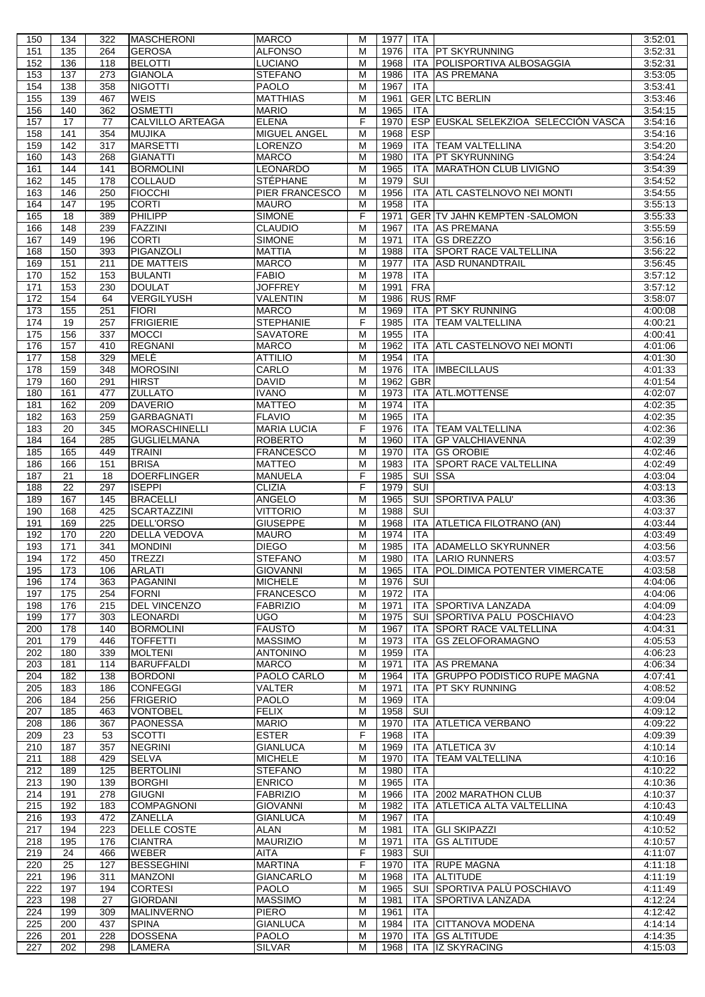| 150        | 134        | 322        | <b>MASCHERONI</b>        | <b>MARCO</b>                  | м      | 1977         | ITA        |                                            | 3:52:01            |
|------------|------------|------------|--------------------------|-------------------------------|--------|--------------|------------|--------------------------------------------|--------------------|
| 151        | 135        | 264        | <b>GEROSA</b>            | <b>ALFONSO</b>                | M      | 1976         |            | ITA <b>PT SKYRUNNING</b>                   | 3:52:31            |
| 152        | 136        | 118        | <b>BELOTTI</b>           | <b>LUCIANO</b>                | M      | 1968         |            | ITA POLISPORTIVA ALBOSAGGIA                | 3:52:31            |
| 153        | 137        | 273        | <b>GIANOLA</b>           | <b>STEFANO</b>                | M      | 1986         | ITA        | <b>AS PREMANA</b>                          | 3:53:05            |
| 154        | 138        | 358        | <b>NIGOTTI</b>           | <b>PAOLO</b>                  | M      | 1967         | <b>ITA</b> |                                            | 3:53:41            |
| 155        | 139        | 467        | <b>WEIS</b>              | <b>MATTHIAS</b>               | M      | 1961         |            | <b>GERILTC BERLIN</b>                      | 3:53:46            |
| 156        | 140        | 362        | <b>OSMETTI</b>           | <b>MARIO</b>                  | M      | 1965         | <b>ITA</b> |                                            | 3:54:15            |
|            |            |            |                          |                               |        |              |            |                                            |                    |
| 157        | 17         | 77         | <b>CALVILLO ARTEAGA</b>  | <b>ELENA</b>                  | F      | 1970         |            | ESP EUSKAL SELEKZIOA SELECCIÓN VASCA       | 3:54:16            |
| 158        | 141        | 354        | <b>MUJIKA</b>            | <b>MIGUEL ANGEL</b>           | M      | 1968         | <b>ESP</b> |                                            | 3:54:16            |
| 159        | 142        | 317        | <b>MARSETTI</b>          | LORENZO                       | M      | 1969         |            | ITA TEAM VALTELLINA                        | 3:54:20            |
| 160        | 143        | 268        | <b>GIANATTI</b>          | <b>MARCO</b>                  | M      | 1980         | ITA.       | <b>PT SKYRUNNING</b>                       | 3:54:24            |
| 161        | 144        | 141        | <b>BORMOLINI</b>         | LEONARDO                      | M      | 1965         | ITA        | <b>MARATHON CLUB LIVIGNO</b>               | 3:54:39            |
| 162        | 145        | 178        | <b>COLLAUD</b>           | <b>STÉPHANE</b>               | M      | 1979         | SUI        |                                            | 3:54:52            |
| 163        | 146        | 250        | <b>FIOCCHI</b>           | <b>PIER FRANCESCO</b>         | M      | 1956         |            | ITA ATL CASTELNOVO NEI MONTI               | 3:54:55            |
| 164        | 147        | 195        | <b>CORTI</b>             | <b>MAURO</b>                  | M      | 1958         | <b>ITA</b> |                                            | 3:55:13            |
|            |            |            | PHILIPP                  |                               | F      |              |            | <b>GER TV JAHN KEMPTEN - SALOMON</b>       |                    |
| 165        | 18         | 389        |                          | <b>SIMONE</b>                 |        | 1971         |            |                                            | 3:55:33            |
| 166        | 148        | 239        | <b>FAZZINI</b>           | <b>CLAUDIO</b>                | M      | 1967         |            | ITA AS PREMANA                             | 3:55:59            |
| 167        | 149        | 196        | <b>CORTI</b>             | <b>SIMONE</b>                 | M      | 1971         | <b>ITA</b> | <b>GS DREZZO</b>                           | 3:56:16            |
| 168        | 150        | 393        | PIGANZOLI                | <b>MATTIA</b>                 | M      | 1988         |            | ITA SPORT RACE VALTELLINA                  | 3:56:22            |
| 169        | 151        | 211        | <b>DE MATTEIS</b>        | <b>MARCO</b>                  | M      | 1977         | ITA.       | <b>ASD RUNANDTRAIL</b>                     | 3:56:45            |
| 170        | 152        | 153        | <b>BULANTI</b>           | <b>FABIO</b>                  | M      | 1978         | <b>ITA</b> |                                            | 3:57:12            |
| 171        | 153        | 230        | <b>DOULAT</b>            | <b>JOFFREY</b>                | M      | 1991         | <b>FRA</b> |                                            | 3:57:12            |
| 172        | 154        | 64         | <b>VERGILYUSH</b>        | <b>VALENTIN</b>               | M      | 1986         |            | <b>RUS RMF</b>                             | 3:58:07            |
|            |            |            | <b>FIORI</b>             |                               |        |              |            |                                            |                    |
| 173        | 155        | 251        |                          | <b>MARCO</b>                  | M<br>F | 1969         | <b>ITA</b> | PT SKY RUNNING                             | 4:00:08            |
| 174        | 19         | 257        | <b>FRIGIERIE</b>         | STEPHANIE                     |        | 1985         | <b>ITA</b> | <b>TEAM VALTELLINA</b>                     | 4:00:21            |
| 175        | 156        | 337        | <b>MOCCI</b>             | <b>SAVATORE</b>               | M      | 1955         | <b>ITA</b> |                                            | 4:00:41            |
| 176        | 157        | 410        | <b>REGNANI</b>           | <b>MARCO</b>                  | M      | 1962         | <b>ITA</b> | <b>ATL CASTELNOVO NEI MONTI</b>            | 4:01:06            |
| 177        | 158        | 329        | MELÈ                     | <b>ATTILIO</b>                | M      | 1954         | <b>ITA</b> |                                            | 4:01:30            |
| 178        | 159        | 348        | <b>MOROSINI</b>          | CARLO                         | M      | 1976         | ITA        | <b>IMBECILLAUS</b>                         | 4:01:33            |
| 179        | 160        | 291        | <b>HIRST</b>             | <b>DAVID</b>                  | M      | 1962         | <b>GBR</b> |                                            | 4:01:54            |
| 180        | 161        | 477        | <b>ZULLATO</b>           | <b>IVANO</b>                  | M      | 1973         | ITA        | ATL.MOTTENSE                               | 4:02:07            |
| 181        | 162        | 209        | <b>DAVERIO</b>           | <b>MATTEO</b>                 | M      | 1974         |            |                                            | 4:02:35            |
|            |            |            |                          |                               |        |              | ITA        |                                            |                    |
| 182        | 163        | 259        | <b>GARBAGNATI</b>        | <b>FLAVIO</b>                 | M      | 1965         | <b>ITA</b> |                                            | 4:02:35            |
| 183        | 20         | 345        | <b>MORASCHINELLI</b>     | <b>MARIA LUCIA</b>            | F      | 1976         |            | ITA TTEAM VALTELLINA                       | 4:02:36            |
| 184        | 164        | 285        | <b>GUGLIELMANA</b>       | <b>ROBERTO</b>                | M      | 1960         |            | ITA GP VALCHIAVENNA                        | 4:02:39            |
| 185        | 165        | 449        | <b>TRAINI</b>            | <b>FRANCESCO</b>              | M      | 1970         | <b>ITA</b> | <b>GS OROBIE</b>                           | 4:02:46            |
| 186        | 166        | 151        | <b>BRISA</b>             | <b>MATTEO</b>                 | M      | 1983         | <b>ITA</b> | <b>SPORT RACE VALTELLINA</b>               | 4:02:49            |
| 187        | 21         | 18         | <b>DOERFLINGER</b>       | <b>MANUELA</b>                | F      | 1985         | SUI        | <b>SSA</b>                                 | 4:03:04            |
| 188        | 22         |            |                          |                               |        |              |            |                                            |                    |
|            |            |            |                          |                               |        |              |            |                                            |                    |
|            |            | 297        | <b>ISEPPI</b>            | <b>CLIZIA</b>                 | F      | 1979         | SUI        |                                            | 4:03:13            |
| 189        | 167        | 145        | <b>BRACELLI</b>          | <b>ANGELO</b>                 | M      | 1965         |            | SUI SPORTIVA PALU'                         | 4:03:36            |
| 190        | 168        | 425        | <b>SCARTAZZINI</b>       | <b>VITTORIO</b>               | M      | 1988         | SUI        |                                            | 4:03:37            |
| 191        | 169        | 225        | DELL'ORSO                | <b>GIUSEPPE</b>               | M      | 1968         |            | ITA ATLETICA FILOTRANO (AN)                | 4:03:44            |
| 192        | 170        | 220        | <b>DELLA VEDOVA</b>      | <b>MAURO</b>                  | M      | 1974         | <b>ITA</b> |                                            | 4:03:49            |
| 193        | 171        | 341        | <b>MONDINI</b>           | <b>DIEGO</b>                  | M      | 1985         |            | ITA ADAMELLO SKYRUNNER                     | 4:03:56            |
| 194        | 172        | 450        | <b>TREZZI</b>            | <b>STEFANO</b>                | M      | 1980         |            | ITA LARIO RUNNERS                          | 4:03:57            |
| 195        | 173        | 106        | <b>ARLATI</b>            | <b>GIOVANNI</b>               | M      | 1965         |            | ITA   POL.DIMICA POTENTER VIMERCATE        | 4:03:58            |
|            |            |            |                          |                               | M      |              |            |                                            |                    |
| 196        | 174        | 363        | <b>PAGANINI</b>          | <b>MICHELE</b>                |        | 1976         | SUI        |                                            | 4:04:06            |
| 197        | 175        | 254        | <b>FORNI</b>             | <b>FRANCESCO</b>              | M      | 1972         | <b>ITA</b> |                                            | 4:04:06            |
| 198        | 176        | 215        | <b>DEL VINCENZO</b>      | <b>FABRIZIO</b>               | M      | 1971         | ITA        | <b>SPORTIVA LANZADA</b>                    | 4:04:09            |
| 199        | 177        | 303        | <b>LEONARDI</b>          | <b>UGO</b>                    | M      | 1975         |            | SUI SPORTIVA PALU POSCHIAVO                | 4:04:23            |
| 200        | 178        | 140        | <b>BORMOLINI</b>         | <b>FAUSTO</b>                 | M      | 1967         |            | ITA SPORT RACE VALTELLINA                  | 4:04:31            |
| 201        | 179        | 446        | <b>TOFFETTI</b>          | <b>MASSIMO</b>                | M      | 1973         | <b>ITA</b> | <b>GS ZELOFORAMAGNO</b>                    | 4:05:53            |
| 202        | 180        | 339        | <b>MOLTENI</b>           | <b>ANTONINO</b>               | M      | 1959         | <b>ITA</b> |                                            | 4:06:23            |
| 203        | 181        | 114        | <b>BARUFFALDI</b>        | <b>MARCO</b>                  | M      | 1971         | ITA        | <b>AS PREMANA</b>                          | 4:06:34            |
| 204        | 182        | 138        | <b>BORDONI</b>           | PAOLO CARLO                   | M      | 1964         | ITA        | <b>GRUPPO PODISTICO RUPE MAGNA</b>         | 4:07:41            |
| 205        | 183        | 186        | <b>CONFEGGI</b>          | <b>VALTER</b>                 | M      | 1971         | <b>ITA</b> | <b>PT SKY RUNNING</b>                      | 4:08:52            |
| 206        | 184        | 256        | <b>FRIGERIO</b>          | <b>PAOLO</b>                  | M      | 1969         | ITA        |                                            | 4:09:04            |
|            | 185        | 463        |                          | <b>FELIX</b>                  | M      |              |            |                                            | 4:09:12            |
| 207        |            |            | <b>VONTOBEL</b>          |                               |        | 1958         | SUI        |                                            |                    |
| 208        | 186        | 367        | <b>PAONESSA</b>          | <b>MARIO</b>                  | M      | 1970         | ITA        | <b>ATLETICA VERBANO</b>                    | 4:09:22            |
| 209        | 23         | 53         | <b>SCOTTI</b>            | <b>ESTER</b>                  | F      | 1968         | ITA        |                                            | 4:09:39            |
| 210        | 187        | 357        | <b>NEGRINI</b>           | <b>GIANLUCA</b>               | M      | 1969         | ITA        | <b>ATLETICA 3V</b>                         | 4:10:14            |
| 211        | 188        | 429        | <b>SELVA</b>             | <b>MICHELE</b>                | M      | 1970         | ITA        | TEAM VALTELLINA                            | 4:10:16            |
| 212        | 189        | 125        | <b>BERTOLINI</b>         | <b>STEFANO</b>                | M      | 1980         | ITA        |                                            | 4:10:22            |
| 213        | 190        | 139        | <b>BORGHI</b>            | <b>ENRICO</b>                 | M      | 1965         | ITA        |                                            | 4:10:36            |
| 214        | 191        | 278        | <b>GIUGNI</b>            | <b>FABRIZIO</b>               | M      | 1966         |            | ITA 2002 MARATHON CLUB                     | 4:10:37            |
| 215        | 192        | 183        | <b>COMPAGNONI</b>        | <b>GIOVANNI</b>               | M      | 1982         | ITA        | ATLETICA ALTA VALTELLINA                   | 4:10:43            |
| 216        | 193        | 472        | <b>ZANELLA</b>           | <b>GIANLUCA</b>               | M      | 1967         | <b>ITA</b> |                                            | 4:10:49            |
| 217        | 194        | 223        | DELLE COSTE              | ALAN                          | M      | 1981         | ITA        | <b>GLI SKIPAZZI</b>                        | 4:10:52            |
|            | 195        | 176        |                          |                               | M      | 1971         | ITA        | <b>GS ALTITUDE</b>                         | 4:10:57            |
| 218        |            |            | <b>CIANTRA</b>           | <b>MAURIZIO</b>               |        |              |            |                                            |                    |
| 219        | 24         | 466        | <b>WEBER</b>             | <b>AITA</b>                   | F      | 1983         | SUI        |                                            | 4:11:07            |
| 220        | 25         | 127        | <b>BESSEGHINI</b>        | <b>MARTINA</b>                | F      | 1970         |            | ITA RUPE MAGNA                             | 4:11:18            |
| 221        | 196        | 311        | <b>MANZONI</b>           | <b>GIANCARLO</b>              | M      | 1968         |            | ITA ALTITUDE                               | 4:11:19            |
| 222        | 197        | 194        | <b>CORTESI</b>           | <b>PAOLO</b>                  | M      | 1965         |            | SUI SPORTIVA PALÙ POSCHIAVO                | 4:11:49            |
| 223        | 198        | 27         | <b>GIORDANI</b>          | <b>MASSIMO</b>                | M      | 1981         | <b>ITA</b> | SPORTIVA LANZADA                           | 4:12:24            |
| 224        | 199        | 309        | <b>MALINVERNO</b>        | <b>PIERO</b>                  | M      | 1961         | ITA        |                                            | 4:12:42            |
| 225        | 200        | 437        | <b>SPINA</b>             | <b>GIANLUCA</b>               | M      | 1984         | ITA        | <b>CITTANOVA MODENA</b>                    | 4:14:14            |
| 226<br>227 | 201<br>202 | 228<br>298 | <b>DOSSENA</b><br>LAMERA | <b>PAOLO</b><br><b>SILVAR</b> | M<br>M | 1970<br>1968 |            | <b>ITA GS ALTITUDE</b><br>ITA IZ SKYRACING | 4:14:35<br>4:15:03 |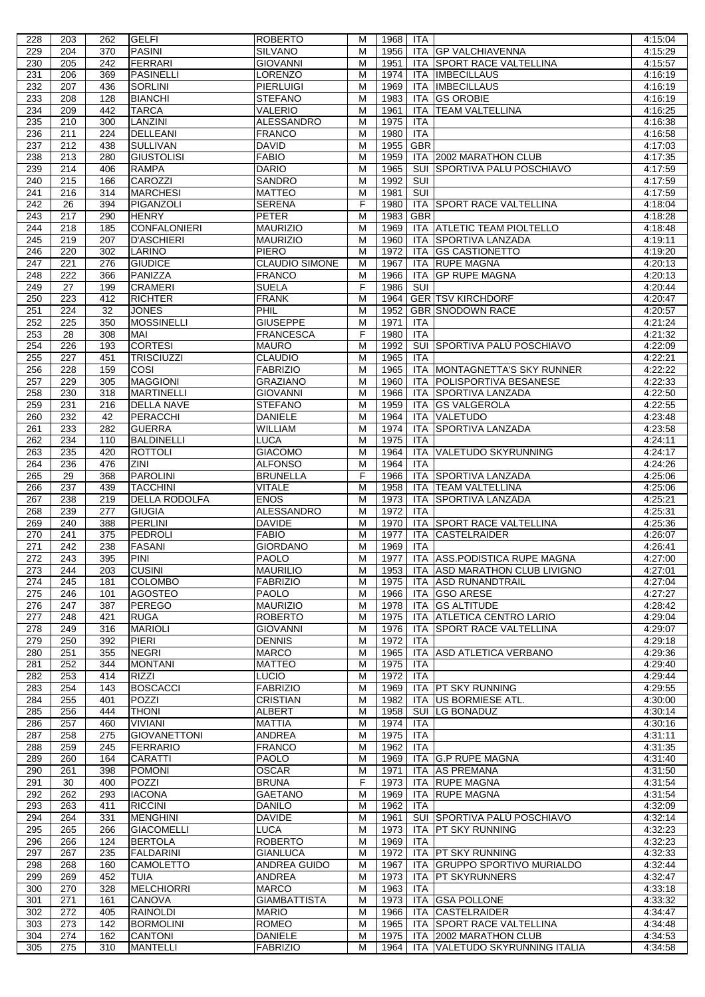| 228 | 203              | 262 | <b>GELFI</b>         | <b>ROBERTO</b>        | м                       | 1968 | ITA                   |                                 | 4:15:04 |
|-----|------------------|-----|----------------------|-----------------------|-------------------------|------|-----------------------|---------------------------------|---------|
| 229 | 204              | 370 | <b>PASINI</b>        | <b>SILVANO</b>        | M                       | 1956 | ITA                   | <b>GP VALCHIAVENNA</b>          | 4:15:29 |
| 230 | 205              | 242 | FERRARI              | <b>GIOVANNI</b>       | M                       | 1951 | ITA                   | <b>SPORT RACE VALTELLINA</b>    | 4:15:57 |
| 231 | 206              | 369 | PASINELLI            | LORENZO               | M                       | 1974 | ITA                   | <b>IMBECILLAUS</b>              | 4:16:19 |
| 232 | 207              | 436 | <b>SORLINI</b>       | <b>PIERLUIGI</b>      | M                       | 1969 | <b>ITA</b>            | <b>IMBECILLAUS</b>              | 4:16:19 |
| 233 | 208              | 128 | <b>BIANCHI</b>       | <b>STEFANO</b>        | M                       | 1983 | <b>ITA</b>            | <b>GS OROBIE</b>                | 4:16:19 |
| 234 | 209              | 442 | <b>TARCA</b>         | VALERIO               | M                       | 1961 | ITA                   | <b>TEAM VALTELLINA</b>          | 4:16:25 |
| 235 | 210              | 300 | LANZINI              | <b>ALESSANDRO</b>     | M                       | 1975 | <b>ITA</b>            |                                 | 4:16:38 |
| 236 | 211              | 224 | <b>DELLEANI</b>      | <b>FRANCO</b>         | M                       | 1980 | <b>ITA</b>            |                                 | 4:16:58 |
| 237 | 212              | 438 | <b>SULLIVAN</b>      | <b>DAVID</b>          | M                       | 1955 | <b>GBR</b>            |                                 | 4:17:03 |
| 238 | 213              | 280 | <b>GIUSTOLISI</b>    | <b>FABIO</b>          | M                       | 1959 | ITA                   | 2002 MARATHON CLUB              | 4:17:35 |
| 239 | 214              | 406 | <b>RAMPA</b>         | <b>DARIO</b>          | M                       | 1965 | <b>SUI</b>            | <b>SPORTIVA PALU POSCHIAVO</b>  | 4:17:59 |
| 240 | 215              | 166 | <b>CAROZZI</b>       | <b>SANDRO</b>         | M                       | 1992 | $\overline{\text{S}}$ |                                 | 4:17:59 |
| 241 | 216              | 314 | <b>MARCHESI</b>      | <b>MATTEO</b>         | M                       | 1981 | $\overline{\text{S}}$ |                                 | 4:17:59 |
| 242 | 26               | 394 | PIGANZOLI            | <b>SERENA</b>         | F                       | 1980 | ITA                   | <b>SPORT RACE VALTELLINA</b>    | 4:18:04 |
| 243 | 217              | 290 | <b>HENRY</b>         | <b>PETER</b>          | M                       | 1983 | <b>GBR</b>            |                                 | 4:18:28 |
| 244 | 218              | 185 | <b>CONFALONIERI</b>  | <b>MAURIZIO</b>       | M                       | 1969 | ITA                   | <b>ATLETIC TEAM PIOLTELLO</b>   | 4:18:48 |
| 245 | 219              | 207 | <b>D'ASCHIERI</b>    | <b>MAURIZIO</b>       | M                       | 1960 | <b>ITA</b>            | SPORTIVA LANZADA                | 4:19:11 |
| 246 | 220              | 302 | LARINO               | <b>PIERO</b>          | M                       | 1972 | <b>ITA</b>            | <b>GS CASTIONETTO</b>           | 4:19:20 |
| 247 | 221              | 276 | <b>GIUDICE</b>       | <b>CLAUDIO SIMONE</b> | M                       | 1967 | <b>ITA</b>            | <b>RUPE MAGNA</b>               | 4:20:13 |
| 248 | $\overline{222}$ | 366 | PANIZZA              | <b>FRANCO</b>         | $\overline{\mathsf{M}}$ | 1966 | <b>ITA</b>            | <b>GP RUPE MAGNA</b>            | 4:20:13 |
| 249 | 27               | 199 | <b>CRAMERI</b>       | <b>SUELA</b>          | F                       | 1986 | SUI                   |                                 | 4:20:44 |
| 250 | 223              | 412 | <b>RICHTER</b>       | <b>FRANK</b>          | M                       | 1964 |                       | <b>GER TSV KIRCHDORF</b>        | 4:20:47 |
| 251 | 224              | 32  | <b>JONES</b>         | PHIL                  | M                       | 1952 |                       | <b>GBR SNODOWN RACE</b>         | 4:20:57 |
| 252 | $\overline{225}$ | 350 | <b>MOSSINELLI</b>    | <b>GIUSEPPE</b>       | M                       | 1971 | <b>ITA</b>            |                                 | 4:21:24 |
| 253 | 28               | 308 | MAI                  | <b>FRANCESCA</b>      | F                       | 1980 | <b>ITA</b>            |                                 | 4:21:32 |
| 254 | 226              | 193 | <b>CORTESI</b>       | <b>MAURO</b>          | M                       | 1992 |                       | SUI SPORTIVA PALÙ POSCHIAVO     | 4:22:09 |
| 255 | 227              | 451 | <b>TRISCIUZZI</b>    | <b>CLAUDIO</b>        | M                       | 1965 | <b>ITA</b>            |                                 | 4:22:21 |
| 256 | 228              | 159 | COSI                 | <b>FABRIZIO</b>       | M                       | 1965 | ITA                   | MONTAGNETTA'S SKY RUNNER        | 4:22:22 |
| 257 | 229              | 305 | <b>MAGGIONI</b>      | <b>GRAZIANO</b>       | $\overline{M}$          | 1960 | <b>ITA</b>            | <b>POLISPORTIVA BESANESE</b>    | 4:22:33 |
| 258 | 230              | 318 | <b>MARTINELLI</b>    | <b>GIOVANNI</b>       | M                       | 1966 | <b>ITA</b>            | <b>SPORTIVA LANZADA</b>         | 4:22:50 |
| 259 | 231              | 216 | DELLA NAVE           | <b>STEFANO</b>        | M                       | 1959 | ITA                   | <b>GS VALGEROLA</b>             | 4:22:55 |
| 260 | 232              | 42  | <b>PERACCHI</b>      | <b>DANIELE</b>        | M                       | 1964 | <b>ITA</b>            | <b>VALETUDO</b>                 | 4:23:48 |
| 261 | 233              | 282 | <b>GUERRA</b>        | <b>WILLIAM</b>        | M                       | 1974 | ITA                   | <b>SPORTIVA LANZADA</b>         | 4:23:58 |
| 262 | 234              | 110 | <b>BALDINELLI</b>    | <b>LUCA</b>           | M                       | 1975 | ITA                   |                                 | 4:24:11 |
| 263 | 235              | 420 | <b>ROTTOLI</b>       | <b>GIACOMO</b>        | M                       | 1964 | ITA                   | VALETUDO SKYRUNNING             | 4:24:17 |
| 264 | 236              | 476 | <b>ZINI</b>          | <b>ALFONSO</b>        | M                       | 1964 | <b>ITA</b>            |                                 | 4:24:26 |
| 265 | 29               | 368 | <b>PAROLINI</b>      | <b>BRUNELLA</b>       | F                       | 1966 | ITA                   | <b>SPORTIVA LANZADA</b>         | 4:25:06 |
| 266 | 237              | 439 | <b>TACCHINI</b>      | <b>VITALE</b>         | M                       | 1958 | ITA                   | <b>TEAM VALTELLINA</b>          | 4:25:06 |
| 267 | 238              | 219 | <b>DELLA RODOLFA</b> | <b>ENOS</b>           | M                       | 1973 | <b>ITA</b>            | SPORTIVA LANZADA                | 4:25:21 |
| 268 | 239              | 277 | <b>GIUGIA</b>        | ALESSANDRO            | M                       | 1972 | ITA                   |                                 | 4:25:31 |
| 269 | 240              | 388 | <b>PERLINI</b>       | <b>DAVIDE</b>         | M                       | 1970 | <b>ITA</b>            | <b>SPORT RACE VALTELLINA</b>    | 4:25:36 |
| 270 | 241              | 375 | PEDROLI              | <b>FABIO</b>          | M                       | 1977 | <b>ITA</b>            | <b>CASTELRAIDER</b>             | 4:26:07 |
| 271 | 242              | 238 | <b>FASANI</b>        | <b>GIORDANO</b>       | M                       | 1969 | ITA                   |                                 | 4:26:41 |
| 272 | 243              | 395 | PINI                 | <b>PAOLO</b>          | M                       | 1977 |                       | ITA ASS.PODISTICA RUPE MAGNA    | 4:27:00 |
| 273 | 244              | 203 | <b>CUSINI</b>        | <b>MAURILIO</b>       | M                       | 1953 |                       | ITA ASD MARATHON CLUB LIVIGNO   | 4:27:01 |
| 274 | 245              | 181 | <b>COLOMBO</b>       | <b>FABRIZIO</b>       | M                       | 1975 | ITA                   | <b>ASD RUNANDTRAIL</b>          | 4:27:04 |
| 275 | 246              | 101 | <b>AGOSTEO</b>       | <b>PAOLO</b>          | M                       | 1966 | ITA                   | <b>GSO ARESE</b>                | 4:27:27 |
| 276 | 247              | 387 | <b>PEREGO</b>        | <b>MAURIZIO</b>       | M                       | 1978 | ITA                   | <b>GS ALTITUDE</b>              | 4:28:42 |
| 277 | 248              | 421 | <b>RUGA</b>          | <b>ROBERTO</b>        | M                       | 1975 | ITA                   | ATLETICA CENTRO LARIO           | 4:29:04 |
| 278 | 249              | 316 | <b>MARIOLI</b>       | <b>GIOVANNI</b>       | M                       | 1976 | ITA                   | SPORT RACE VALTELLINA           | 4:29:07 |
| 279 | 250              | 392 | <b>PIERI</b>         | <b>DENNIS</b>         | M                       | 1972 | ITA                   |                                 | 4:29:18 |
| 280 | 251              | 355 | <b>NEGRI</b>         | <b>MARCO</b>          | M                       | 1965 | ITA                   | <b>ASD ATLETICA VERBANO</b>     | 4:29:36 |
| 281 | 252              | 344 | <b>MONTANI</b>       | <b>MATTEO</b>         | M                       | 1975 | ITA                   |                                 | 4:29:40 |
| 282 | 253              | 414 | <b>RIZZI</b>         | <b>LUCIO</b>          | M                       | 1972 | <b>ITA</b>            |                                 | 4:29:44 |
| 283 | 254              | 143 | <b>BOSCACCI</b>      | <b>FABRIZIO</b>       | M                       | 1969 |                       | ITA   PT SKY RUNNING            | 4:29:55 |
| 284 | 255              | 401 | <b>POZZI</b>         | <b>CRISTIAN</b>       | M                       | 1982 | ITA                   | US BORMIESE ATL.                | 4:30:00 |
| 285 | 256              | 444 | <b>THONI</b>         | <b>ALBERT</b>         | M                       | 1958 | SUI                   | <b>LG BONADUZ</b>               | 4:30:14 |
| 286 | 257              | 460 | <b>VIVIANI</b>       | <b>MATTIA</b>         | M                       | 1974 | ITA                   |                                 | 4:30:16 |
| 287 | 258              | 275 | <b>GIOVANETTONI</b>  | ANDREA                | M                       | 1975 | ITA                   |                                 | 4:31:11 |
| 288 | 259              | 245 | <b>FERRARIO</b>      | <b>FRANCO</b>         | M                       | 1962 | <b>ITA</b>            |                                 | 4:31:35 |
| 289 | 260              | 164 | <b>CARATTI</b>       | <b>PAOLO</b>          | M                       | 1969 |                       | ITA G.P RUPE MAGNA              | 4:31:40 |
| 290 | 261              | 398 | <b>POMONI</b>        | <b>OSCAR</b>          | M                       | 1971 | ITA                   | <b>AS PREMANA</b>               | 4:31:50 |
| 291 | 30               | 400 | <b>POZZI</b>         | <b>BRUNA</b>          | F                       | 1973 | ITA                   | <b>RUPE MAGNA</b>               | 4:31:54 |
| 292 | 262              | 293 | <b>IACONA</b>        | GAETANO               | M                       | 1969 | ITA                   | <b>RUPE MAGNA</b>               | 4:31:54 |
| 293 | 263              | 411 | <b>RICCINI</b>       | DANILO                | M                       | 1962 | ITA                   |                                 | 4:32:09 |
| 294 | 264              | 331 | <b>MENGHINI</b>      | <b>DAVIDE</b>         | M                       | 1961 | SUI                   | SPORTIVA PALÙ POSCHIAVO         | 4:32:14 |
| 295 | 265              | 266 | <b>GIACOMELLI</b>    | LUCA                  | M                       | 1973 | <b>ITA</b>            | PT SKY RUNNING                  | 4:32:23 |
| 296 | 266              | 124 | <b>BERTOLA</b>       | <b>ROBERTO</b>        | M                       | 1969 | <b>ITA</b>            |                                 | 4:32:23 |
| 297 | 267              | 235 | <b>FALDARINI</b>     | <b>GIANLUCA</b>       | M                       | 1972 | <b>ITA</b>            | <b>PT SKY RUNNING</b>           | 4:32:33 |
| 298 | 268              | 160 | <b>CAMOLETTO</b>     | ANDREA GUIDO          | M                       | 1967 | ITA                   | <b>GRUPPO SPORTIVO MURIALDO</b> | 4:32:44 |
| 299 | 269              | 452 | TUIA                 | <b>ANDREA</b>         | M                       | 1973 | ITA                   | <b>PT SKYRUNNERS</b>            | 4:32:47 |
| 300 | 270              | 328 | <b>MELCHIORRI</b>    | MARCO                 | M                       | 1963 | ITA                   |                                 | 4:33:18 |
| 301 | 271              | 161 | CANOVA               | <b>GIAMBATTISTA</b>   | M                       | 1973 | ITA                   | IGSA POLLONE                    | 4:33:32 |
| 302 | 272              | 405 | <b>RAINOLDI</b>      | <b>MARIO</b>          | M                       | 1966 | ITA                   | <b>CASTELRAIDER</b>             | 4:34:47 |
| 303 | 273              | 142 | <b>BORMOLINI</b>     | <b>ROMEO</b>          | M                       | 1965 | ITA                   | <b>SPORT RACE VALTELLINA</b>    | 4:34:48 |
| 304 | 274              | 162 | CANTONI              | DANIELE               | M                       | 1975 |                       | ITA 2002 MARATHON CLUB          | 4:34:53 |
| 305 | 275              | 310 | <b>MANTELLI</b>      | <b>FABRIZIO</b>       | M                       | 1964 | <b>ITA</b>            | VALETUDO SKYRUNNING ITALIA      | 4:34:58 |
|     |                  |     |                      |                       |                         |      |                       |                                 |         |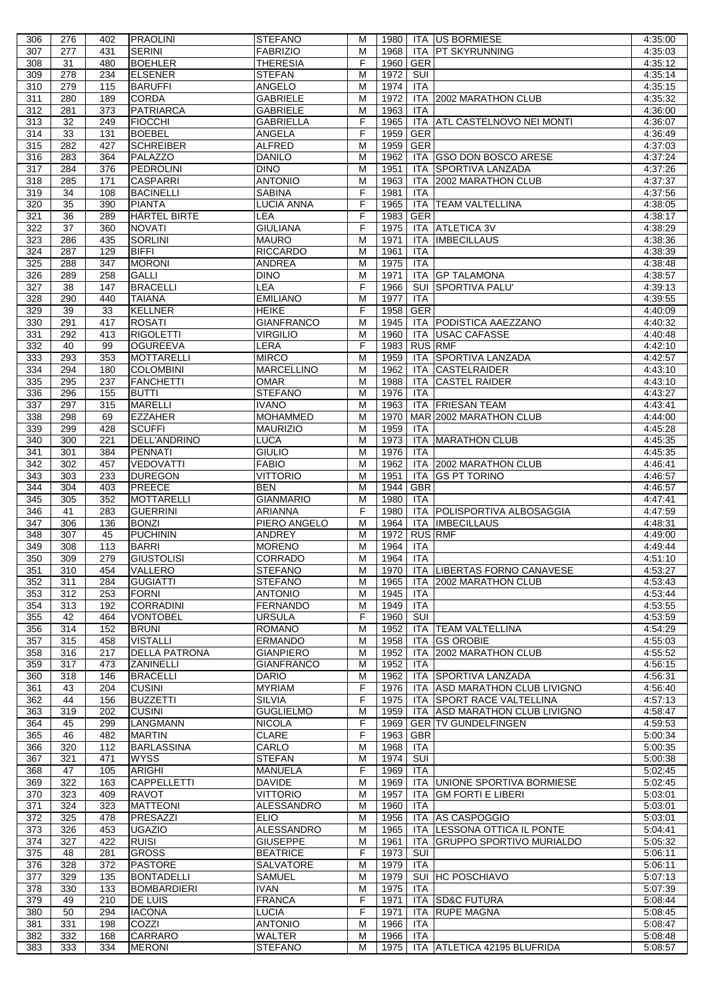| 306 | 276              | 402             | <b>PRAOLINI</b>      | <b>STEFANO</b>    | м              | 1980     |            | <b>ITA US BORMIESE</b>          | 4:35:00 |
|-----|------------------|-----------------|----------------------|-------------------|----------------|----------|------------|---------------------------------|---------|
| 307 | $\overline{277}$ | 431             | <b>SERINI</b>        | <b>FABRIZIO</b>   | M              | 1968     | <b>ITA</b> | <b>PT SKYRUNNING</b>            | 4:35:03 |
| 308 | 31               | 480             | <b>BOEHLER</b>       | <b>THERESIA</b>   | F              | 1960     | <b>GER</b> |                                 | 4:35:12 |
| 309 | 278              | 234             | <b>ELSENER</b>       | <b>STEFAN</b>     | M              | 1972     | SUI        |                                 | 4:35:14 |
| 310 | 279              | 115             | <b>BARUFFI</b>       | ANGELO            | M              | 1974     | <b>ITA</b> |                                 | 4:35:15 |
|     |                  |                 |                      |                   |                |          |            |                                 |         |
| 311 | 280              | 189             | <b>CORDA</b>         | <b>GABRIELE</b>   | M              | 1972     | <b>ITA</b> | 2002 MARATHON CLUB              | 4:35:32 |
| 312 | 281              | 373             | <b>PATRIARCA</b>     | <b>GABRIELE</b>   | M              | 1963     | <b>ITA</b> |                                 | 4:36:00 |
| 313 | 32               | 249             | <b>FIOCCHI</b>       | <b>GABRIELLA</b>  | F              | 1965     | ITA        | <b>ATL CASTELNOVO NEI MONTI</b> | 4:36:07 |
| 314 | 33               | 131             | <b>BOEBEL</b>        | ANGELA            | F              | 1959     | <b>GER</b> |                                 | 4:36:49 |
| 315 | 282              | 427             | <b>SCHREIBER</b>     | <b>ALFRED</b>     | M              | 1959     | <b>GER</b> |                                 | 4:37:03 |
|     | 283              |                 |                      |                   |                |          |            |                                 |         |
| 316 |                  | 364             | PALAZZO              | <b>DANILO</b>     | M              | 1962     |            | ITA GSO DON BOSCO ARESE         | 4:37:24 |
| 317 | 284              | 376             | <b>PEDROLINI</b>     | <b>DINO</b>       | М              | 1951     | ITA.       | SPORTIVA LANZADA                | 4:37:26 |
| 318 | 285              | 171             | <b>CASPARRI</b>      | <b>ANTONIO</b>    | M              | 1963     | <b>ITA</b> | 2002 MARATHON CLUB              | 4:37:37 |
| 319 | $\overline{34}$  | 108             | <b>BACINELLI</b>     | <b>SABINA</b>     | $\overline{F}$ | 1981     | <b>ITA</b> |                                 | 4:37:56 |
| 320 | 35               | 390             | <b>PIANTA</b>        | LUCIA ANNA        | F              | 1965     | ITA        | <b>TEAM VALTELLINA</b>          | 4:38:05 |
| 321 | 36               | 289             | HÄRTEL BIRTE         | LEA               | F              | 1983     | <b>GER</b> |                                 | 4:38:17 |
|     |                  |                 |                      |                   |                |          |            |                                 |         |
| 322 | 37               | 360             | <b>NOVATI</b>        | <b>GIULIANA</b>   | F              | 1975     | <b>ITA</b> | <b>ATLETICA 3V</b>              | 4:38:29 |
| 323 | 286              | 435             | <b>SORLINI</b>       | <b>MAURO</b>      | M              | 1971     | ITA        | <b>IMBECILLAUS</b>              | 4:38:36 |
| 324 | 287              | 129             | <b>BIFFI</b>         | <b>RICCARDO</b>   | M              | 1961     | ITA        |                                 | 4:38:39 |
| 325 | 288              | 347             | <b>MORONI</b>        | <b>ANDREA</b>     | M              | 1975     | <b>ITA</b> |                                 | 4:38:48 |
| 326 | 289              | 258             | <b>GALLI</b>         | <b>DINO</b>       | M              | 1971     | ITA        | <b>GP TALAMONA</b>              | 4:38:57 |
| 327 | 38               | 147             | <b>BRACELLI</b>      | LEA               | F              | 1966     | SUI        | <b>SPORTIVA PALU'</b>           | 4:39:13 |
|     |                  |                 |                      |                   |                |          |            |                                 |         |
| 328 | 290              | 440             | <b>TAIANA</b>        | <b>EMILIANO</b>   | M              | 1977     | <b>ITA</b> |                                 | 4:39:55 |
| 329 | 39               | 33              | <b>KELLNER</b>       | <b>HEIKE</b>      | F              | 1958     | GER        |                                 | 4:40:09 |
| 330 | 291              | 417             | <b>ROSATI</b>        | <b>GIANFRANCO</b> | M              | 1945     |            | ITA PODISTICA AAEZZANO          | 4:40:32 |
| 331 | 292              | 413             | <b>RIGOLETTI</b>     | <b>VIRGILIO</b>   | M              | 1960     | <b>ITA</b> | <b>USAC CAFASSE</b>             | 4:40:48 |
| 332 | 40               | $\overline{99}$ | <b>OGUREEVA</b>      | LERA              | $\overline{F}$ | 1983     |            | <b>RUS RMF</b>                  | 4:42:10 |
|     | 293              |                 | <b>MOTTARELLI</b>    | <b>MIRCO</b>      |                |          |            |                                 |         |
| 333 |                  | 353             |                      |                   | M              | 1959     | ITA.       | <b>SPORTIVA LANZADA</b>         | 4:42:57 |
| 334 | 294              | 180             | <b>COLOMBINI</b>     | <b>MARCELLINO</b> | M              | 1962     | <b>ITA</b> | <b>CASTELRAIDER</b>             | 4:43:10 |
| 335 | 295              | 237             | <b>FANCHETTI</b>     | <b>OMAR</b>       | M              | 1988     | ITA        | <b>CASTEL RAIDER</b>            | 4:43:10 |
| 336 | 296              | 155             | <b>BUTTI</b>         | <b>STEFANO</b>    | M              | 1976     | <b>ITA</b> |                                 | 4:43:27 |
| 337 | 297              | 315             | <b>MARELLI</b>       | <b>IVANO</b>      | M              | 1963     | <b>ITA</b> | <b>FRIESAN TEAM</b>             | 4:43:41 |
| 338 | 298              | 69              | <b>EZZAHER</b>       | <b>MOHAMMED</b>   | M              | 1970     |            | MAR 2002 MARATHON CLUB          | 4:44:00 |
|     |                  |                 |                      |                   |                |          |            |                                 |         |
| 339 | 299              | 428             | <b>SCUFFI</b>        | <b>MAURIZIO</b>   | M              | 1959     | <b>ITA</b> |                                 | 4:45:28 |
| 340 | 300              | 221             | DELL'ANDRINO         | <b>LUCA</b>       | M              | 1973     | <b>ITA</b> | <b>MARATHON CLUB</b>            | 4:45:35 |
| 341 | 301              | 384             | PENNATI              | <b>GIULIO</b>     | M              | 1976     | <b>ITA</b> |                                 | 4:45:35 |
| 342 | 302              | 457             | <b>VEDOVATTI</b>     | <b>FABIO</b>      | M              | 1962     | ITA.       | 2002 MARATHON CLUB              | 4:46:41 |
| 343 | 303              | 233             | <b>DUREGON</b>       | <b>VITTORIO</b>   | M              | 1951     | <b>ITA</b> | <b>GS PT TORINO</b>             | 4:46:57 |
| 344 | 304              | 403             | <b>PREECE</b>        | <b>BEN</b>        | M              | 1944     | <b>GBR</b> |                                 | 4:46:57 |
|     |                  |                 |                      |                   |                |          |            |                                 |         |
| 345 | 305              | 352             | <b>MOTTARELLI</b>    | <b>GIANMARIO</b>  | M              | 1980     | <b>ITA</b> |                                 | 4:47:41 |
| 346 | 41               | 283             | <b>GUERRINI</b>      | <b>ARIANNA</b>    | F              | 1980     | ITA.       | POLISPORTIVA ALBOSAGGIA         | 4:47:59 |
| 347 | 306              | 136             | <b>BONZI</b>         | PIERO ANGELO      | M              | 1964     | ITA        | <b>IMBECILLAUS</b>              | 4:48:31 |
| 348 | 307              | 45              | <b>PUCHININ</b>      | ANDREY            | М              | 1972     |            | <b>RUS RMF</b>                  | 4:49:00 |
| 349 | 308              | 113             | <b>BARRI</b>         | <b>MORENO</b>     | м              | 1964     | <b>ITA</b> |                                 | 4:49:44 |
| 350 | 309              | 279             | <b>GIUSTOLISI</b>    | <b>CORRADO</b>    | M              | 1964 ITA |            |                                 | 4:51:10 |
|     |                  |                 |                      |                   |                |          |            |                                 |         |
| 351 | 310              | 454             | VALLERO              | <b>STEFANO</b>    | М              | 1970     |            | ITA LIBERTAS FORNO CANAVESE     | 4:53:27 |
| 352 | 311              | 284             | <b>GUGIATTI</b>      | <b>STEFANO</b>    | М              | 1965     | <b>ITA</b> | 2002 MARATHON CLUB              | 4.53.43 |
| 353 | 312              | 253             | <b>FORNI</b>         | <b>ANTONIO</b>    | M              | 1945     | <b>ITA</b> |                                 | 4:53:44 |
| 354 | 313              | 192             | <b>CORRADINI</b>     | <b>FERNANDO</b>   | M              | 1949     | <b>ITA</b> |                                 | 4:53:55 |
| 355 | 42               | 464             | <b>VONTOBEL</b>      | <b>URSULA</b>     | F              | 1960     | SUI        |                                 | 4:53:59 |
| 356 | 314              | 152             |                      |                   | M              |          |            |                                 | 4:54:29 |
|     |                  |                 | <b>BRUNI</b>         | <b>ROMANO</b>     |                | 1952     | ITA        | <b>TEAM VALTELLINA</b>          |         |
| 357 | 315              | 458             | <b>VISTALLI</b>      | <b>ERMANDO</b>    | M              | 1958     | <b>ITA</b> | <b>GS OROBIE</b>                | 4:55:03 |
| 358 | 316              | 217             | <b>DELLA PATRONA</b> | <b>GIANPIERO</b>  | М              | 1952     | <b>ITA</b> | 2002 MARATHON CLUB              | 4:55:52 |
| 359 | 317              | 473             | ZANINELLI            | <b>GIANFRANCO</b> | M              | 1952     | <b>ITA</b> |                                 | 4:56:15 |
| 360 | 318              | 146             | <b>BRACELLI</b>      | <b>DARIO</b>      | М              | 1962     | ITA        | SPORTIVA LANZADA                | 4:56:31 |
| 361 | 43               | 204             | <b>CUSINI</b>        | <b>MYRIAM</b>     | F              | 1976     | <b>ITA</b> | ASD MARATHON CLUB LIVIGNO       | 4:56:40 |
| 362 | 44               | 156             | <b>BUZZETTI</b>      | <b>SILVIA</b>     | F              | 1975     | <b>ITA</b> | <b>SPORT RACE VALTELLINA</b>    | 4:57:13 |
|     |                  |                 |                      |                   |                |          |            |                                 |         |
| 363 | 319              | 202             | <b>CUSINI</b>        | <b>GUGLIELMO</b>  | М              | 1959     | <b>ITA</b> | ASD MARATHON CLUB LIVIGNO       | 4:58:47 |
| 364 | 45               | 299             | <b>LANGMANN</b>      | <b>NICOLA</b>     | F              | 1969     |            | <b>GER TV GUNDELFINGEN</b>      | 4:59:53 |
| 365 | 46               | 482             | <b>MARTIN</b>        | CLARE             | F              | 1963     | <b>GBR</b> |                                 | 5:00:34 |
| 366 | 320              | 112             | <b>BARLASSINA</b>    | CARLO             | M              | 1968     | <b>ITA</b> |                                 | 5:00:35 |
| 367 | 321              | 471             | <b>WYSS</b>          | <b>STEFAN</b>     | М              | 1974     | SUI        |                                 | 5:00:38 |
|     |                  |                 |                      |                   | F              |          |            |                                 |         |
| 368 | 47               | 105             | <b>ARIGHI</b>        | <b>MANUELA</b>    |                | 1969     | <b>ITA</b> |                                 | 5:02:45 |
| 369 | 322              | 163             | <b>CAPPELLETTI</b>   | <b>DAVIDE</b>     | M              | 1969     | ITA.       | UNIONE SPORTIVA BORMIESE        | 5:02:45 |
| 370 | 323              | 409             | <b>RAVOT</b>         | <b>VITTORIO</b>   | M              | 1957     | ITA        | <b>GM FORTI E LIBERI</b>        | 5:03:01 |
| 371 | 324              | 323             | <b>MATTEONI</b>      | <b>ALESSANDRO</b> | M              | 1960     | <b>ITA</b> |                                 | 5:03:01 |
| 372 | 325              | 478             | PRESAZZI             | <b>ELIO</b>       | M              | 1956     | ITA        | AS CASPOGGIO                    | 5:03:01 |
| 373 | 326              | 453             | <b>UGAZIO</b>        | <b>ALESSANDRO</b> | M              | 1965     |            | LESSONA OTTICA IL PONTE         | 5:04:41 |
|     |                  |                 |                      |                   |                |          | ITA        |                                 |         |
| 374 | 327              | 422             | <b>RUISI</b>         | <b>GIUSEPPE</b>   | М              | 1961     | ITA        | GRUPPO SPORTIVO MURIALDO        | 5:05:32 |
| 375 | 48               | 281             | <b>GROSS</b>         | <b>BEATRICE</b>   | F              | 1973     | SUI        |                                 | 5:06:11 |
| 376 | 328              | 372             | <b>PASTORE</b>       | SALVATORE         | М              | 1979     | <b>ITA</b> |                                 | 5:06:11 |
| 377 | 329              | 135             | <b>BONTADELLI</b>    | <b>SAMUEL</b>     | М              | 1979     |            | SUI HC POSCHIAVO                | 5:07:13 |
| 378 | 330              | 133             | <b>BOMBARDIERI</b>   | <b>IVAN</b>       | M              | 1975     | <b>ITA</b> |                                 | 5:07:39 |
|     |                  |                 |                      |                   | F              |          |            |                                 |         |
| 379 | 49               | 210             | <b>DE LUIS</b>       | <b>FRANCA</b>     |                | 1971     | ITA        | <b>SD&amp;C FUTURA</b>          | 5:08:44 |
| 380 | 50               | 294             | <b>IACONA</b>        | <b>LUCIA</b>      | F              | 1971     | ITA.       | <b>RUPE MAGNA</b>               | 5:08:45 |
| 381 | 331              | 198             | COZZI                | <b>ANTONIO</b>    | M              | 1966     | <b>ITA</b> |                                 | 5:08:47 |
| 382 | 332              | 168             | <b>CARRARO</b>       | <b>WALTER</b>     | M              | 1966     | <b>ITA</b> |                                 | 5:08:48 |
| 383 | 333              | 334             | <b>MERONI</b>        | <b>STEFANO</b>    | м              | 1975     |            | ITA ATLETICA 42195 BLUFRIDA     | 5:08:57 |
|     |                  |                 |                      |                   |                |          |            |                                 |         |